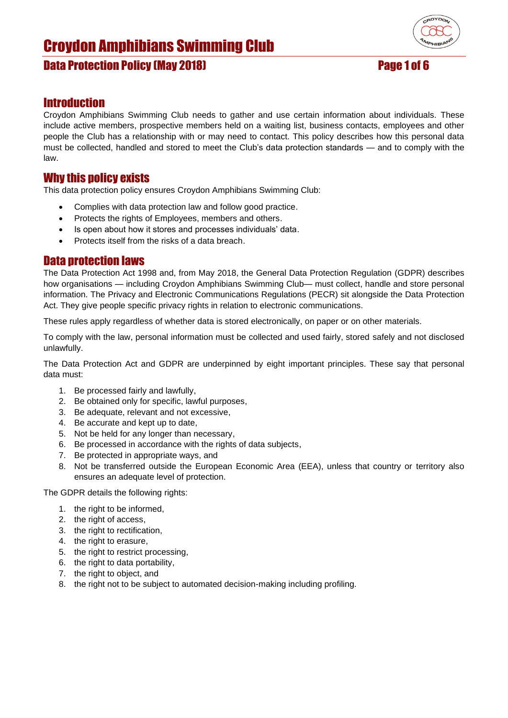## Data Protection Policy (May 2018) Page 1 of 6



### **Introduction**

Croydon Amphibians Swimming Club needs to gather and use certain information about individuals. These include active members, prospective members held on a waiting list, business contacts, employees and other people the Club has a relationship with or may need to contact. This policy describes how this personal data must be collected, handled and stored to meet the Club's data protection standards — and to comply with the law.

#### Why this policy exists

This data protection policy ensures Croydon Amphibians Swimming Club:

- Complies with data protection law and follow good practice.
- Protects the rights of Employees, members and others.
- Is open about how it stores and processes individuals' data.
- Protects itself from the risks of a data breach.

### Data protection laws

The Data Protection Act 1998 and, from May 2018, the General Data Protection Regulation (GDPR) describes how organisations — including Croydon Amphibians Swimming Club— must collect, handle and store personal information. The Privacy and Electronic Communications Regulations (PECR) sit alongside the Data Protection Act. They give people specific privacy rights in relation to electronic communications.

These rules apply regardless of whether data is stored electronically, on paper or on other materials.

To comply with the law, personal information must be collected and used fairly, stored safely and not disclosed unlawfully.

The Data Protection Act and GDPR are underpinned by eight important principles. These say that personal data must:

- 1. Be processed fairly and lawfully,
- 2. Be obtained only for specific, lawful purposes,
- 3. Be adequate, relevant and not excessive,
- 4. Be accurate and kept up to date,
- 5. Not be held for any longer than necessary,
- 6. Be processed in accordance with the rights of data subjects,
- 7. Be protected in appropriate ways, and
- 8. Not be transferred outside the European Economic Area (EEA), unless that country or territory also ensures an adequate level of protection.

The GDPR details the following rights:

- 1. the right to be informed,
- 2. the right of access,
- 3. the right to rectification,
- 4. the right to erasure,
- 5. the right to restrict processing,
- 6. the right to data portability,
- 7. the right to object, and
- 8. the right not to be subject to automated decision-making including profiling.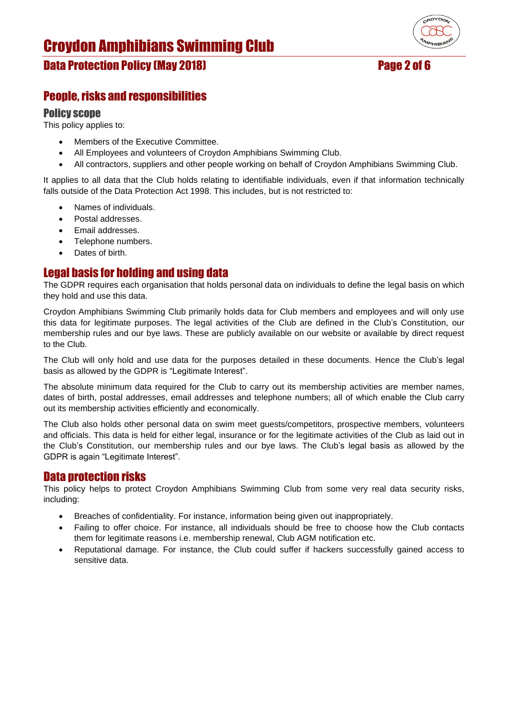# Data Protection Policy (May 2018) Page 2 of 6

## People, risks and responsibilities

#### Policy scope

This policy applies to:

- Members of the Executive Committee.
- All Employees and volunteers of Croydon Amphibians Swimming Club.
- All contractors, suppliers and other people working on behalf of Croydon Amphibians Swimming Club.

It applies to all data that the Club holds relating to identifiable individuals, even if that information technically falls outside of the Data Protection Act 1998. This includes, but is not restricted to:

- Names of individuals.
- Postal addresses.
- Email addresses.
- Telephone numbers.
- Dates of birth.

## Legal basis for holding and using data

The GDPR requires each organisation that holds personal data on individuals to define the legal basis on which they hold and use this data.

Croydon Amphibians Swimming Club primarily holds data for Club members and employees and will only use this data for legitimate purposes. The legal activities of the Club are defined in the Club's Constitution, our membership rules and our bye laws. These are publicly available on our website or available by direct request to the Club.

The Club will only hold and use data for the purposes detailed in these documents. Hence the Club's legal basis as allowed by the GDPR is "Legitimate Interest".

The absolute minimum data required for the Club to carry out its membership activities are member names, dates of birth, postal addresses, email addresses and telephone numbers; all of which enable the Club carry out its membership activities efficiently and economically.

The Club also holds other personal data on swim meet guests/competitors, prospective members, volunteers and officials. This data is held for either legal, insurance or for the legitimate activities of the Club as laid out in the Club's Constitution, our membership rules and our bye laws. The Club's legal basis as allowed by the GDPR is again "Legitimate Interest".

#### Data protection risks

This policy helps to protect Croydon Amphibians Swimming Club from some very real data security risks, including:

- Breaches of confidentiality. For instance, information being given out inappropriately.
- Failing to offer choice. For instance, all individuals should be free to choose how the Club contacts them for legitimate reasons i.e. membership renewal, Club AGM notification etc.
- Reputational damage. For instance, the Club could suffer if hackers successfully gained access to sensitive data.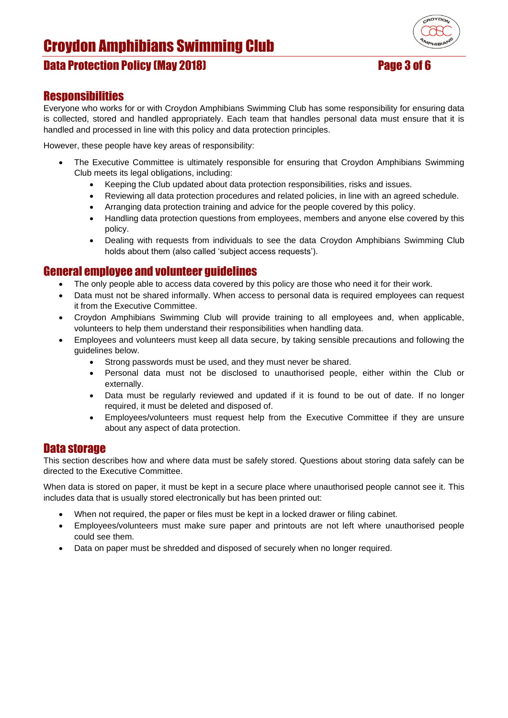# Data Protection Policy (May 2018) Page 3 of 6



### **Responsibilities**

Everyone who works for or with Croydon Amphibians Swimming Club has some responsibility for ensuring data is collected, stored and handled appropriately. Each team that handles personal data must ensure that it is handled and processed in line with this policy and data protection principles.

However, these people have key areas of responsibility:

- The Executive Committee is ultimately responsible for ensuring that Croydon Amphibians Swimming Club meets its legal obligations, including:
	- Keeping the Club updated about data protection responsibilities, risks and issues.
	- Reviewing all data protection procedures and related policies, in line with an agreed schedule.
	- Arranging data protection training and advice for the people covered by this policy.
	- Handling data protection questions from employees, members and anyone else covered by this policy.
	- Dealing with requests from individuals to see the data Croydon Amphibians Swimming Club holds about them (also called 'subject access requests').

#### General employee and volunteer guidelines

- The only people able to access data covered by this policy are those who need it for their work.
- Data must not be shared informally. When access to personal data is required employees can request it from the Executive Committee.
- Croydon Amphibians Swimming Club will provide training to all employees and, when applicable, volunteers to help them understand their responsibilities when handling data.
- Employees and volunteers must keep all data secure, by taking sensible precautions and following the guidelines below.
	- Strong passwords must be used, and they must never be shared.
	- Personal data must not be disclosed to unauthorised people, either within the Club or externally.
	- Data must be regularly reviewed and updated if it is found to be out of date. If no longer required, it must be deleted and disposed of.
	- Employees/volunteers must request help from the Executive Committee if they are unsure about any aspect of data protection.

#### Data storage

This section describes how and where data must be safely stored. Questions about storing data safely can be directed to the Executive Committee.

When data is stored on paper, it must be kept in a secure place where unauthorised people cannot see it. This includes data that is usually stored electronically but has been printed out:

- When not required, the paper or files must be kept in a locked drawer or filing cabinet.
- Employees/volunteers must make sure paper and printouts are not left where unauthorised people could see them.
- Data on paper must be shredded and disposed of securely when no longer required.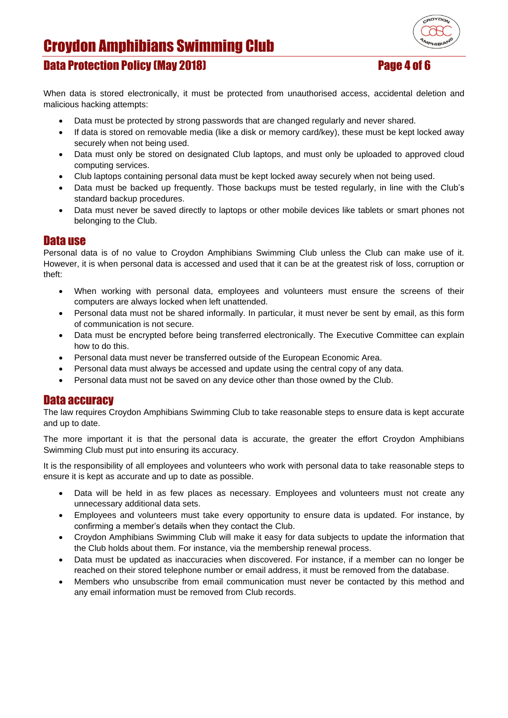

## Data Protection Policy (May 2018) Page 4 of 6

When data is stored electronically, it must be protected from unauthorised access, accidental deletion and malicious hacking attempts:

- Data must be protected by strong passwords that are changed regularly and never shared.
- If data is stored on removable media (like a disk or memory card/key), these must be kept locked away securely when not being used.
- Data must only be stored on designated Club laptops, and must only be uploaded to approved cloud computing services.
- Club laptops containing personal data must be kept locked away securely when not being used.
- Data must be backed up frequently. Those backups must be tested regularly, in line with the Club's standard backup procedures.
- Data must never be saved directly to laptops or other mobile devices like tablets or smart phones not belonging to the Club.

#### Data use

Personal data is of no value to Croydon Amphibians Swimming Club unless the Club can make use of it. However, it is when personal data is accessed and used that it can be at the greatest risk of loss, corruption or theft:

- When working with personal data, employees and volunteers must ensure the screens of their computers are always locked when left unattended.
- Personal data must not be shared informally. In particular, it must never be sent by email, as this form of communication is not secure.
- Data must be encrypted before being transferred electronically. The Executive Committee can explain how to do this.
- Personal data must never be transferred outside of the European Economic Area.
- Personal data must always be accessed and update using the central copy of any data.
- Personal data must not be saved on any device other than those owned by the Club.

### Data accuracy

The law requires Croydon Amphibians Swimming Club to take reasonable steps to ensure data is kept accurate and up to date.

The more important it is that the personal data is accurate, the greater the effort Croydon Amphibians Swimming Club must put into ensuring its accuracy.

It is the responsibility of all employees and volunteers who work with personal data to take reasonable steps to ensure it is kept as accurate and up to date as possible.

- Data will be held in as few places as necessary. Employees and volunteers must not create any unnecessary additional data sets.
- Employees and volunteers must take every opportunity to ensure data is updated. For instance, by confirming a member's details when they contact the Club.
- Croydon Amphibians Swimming Club will make it easy for data subjects to update the information that the Club holds about them. For instance, via the membership renewal process.
- Data must be updated as inaccuracies when discovered. For instance, if a member can no longer be reached on their stored telephone number or email address, it must be removed from the database.
- Members who unsubscribe from email communication must never be contacted by this method and any email information must be removed from Club records.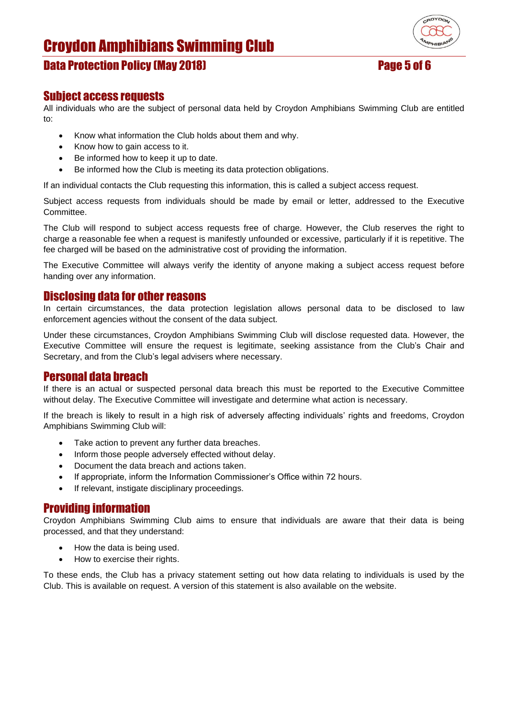

## Data Protection Policy (May 2018) Page 5 of 6

# Subject access requests

All individuals who are the subject of personal data held by Croydon Amphibians Swimming Club are entitled to:

- Know what information the Club holds about them and why.
- Know how to gain access to it.
- Be informed how to keep it up to date.
- Be informed how the Club is meeting its data protection obligations.

If an individual contacts the Club requesting this information, this is called a subject access request.

Subject access requests from individuals should be made by email or letter, addressed to the Executive **Committee.** 

The Club will respond to subject access requests free of charge. However, the Club reserves the right to charge a reasonable fee when a request is manifestly unfounded or excessive, particularly if it is repetitive. The fee charged will be based on the administrative cost of providing the information.

The Executive Committee will always verify the identity of anyone making a subject access request before handing over any information.

#### Disclosing data for other reasons

In certain circumstances, the data protection legislation allows personal data to be disclosed to law enforcement agencies without the consent of the data subject.

Under these circumstances, Croydon Amphibians Swimming Club will disclose requested data. However, the Executive Committee will ensure the request is legitimate, seeking assistance from the Club's Chair and Secretary, and from the Club's legal advisers where necessary.

### Personal data breach

If there is an actual or suspected personal data breach this must be reported to the Executive Committee without delay. The Executive Committee will investigate and determine what action is necessary.

If the breach is likely to result in a high risk of adversely affecting individuals' rights and freedoms, Croydon Amphibians Swimming Club will:

- Take action to prevent any further data breaches.
- Inform those people adversely effected without delay.
- Document the data breach and actions taken.
- If appropriate, inform the Information Commissioner's Office within 72 hours.
- If relevant, instigate disciplinary proceedings.

#### Providing information

Croydon Amphibians Swimming Club aims to ensure that individuals are aware that their data is being processed, and that they understand:

- How the data is being used.
- How to exercise their rights.

To these ends, the Club has a privacy statement setting out how data relating to individuals is used by the Club. This is available on request. A version of this statement is also available on the website.